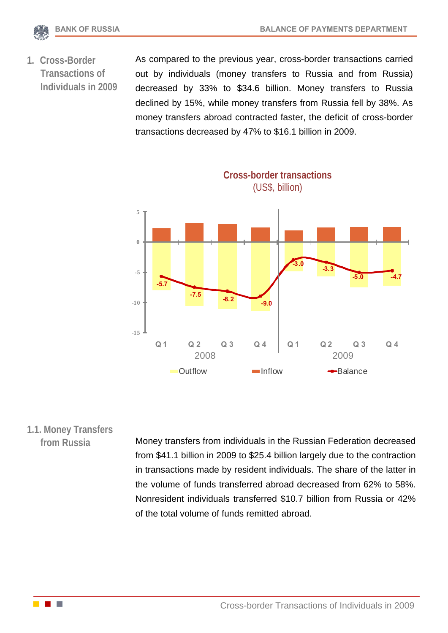

**1. Cross-Border Transactions of Individuals in 2009** As compared to the previous year, cross-border transactions carried out by individuals (money transfers to Russia and from Russia) decreased by 33% to \$34.6 billion. Money transfers to Russia declined by 15%, while money transfers from Russia fell by 38%. As money transfers abroad contracted faster, the deficit of cross-border transactions decreased by 47% to \$16.1 billion in 2009.

**Cross-border transactions**  (US\$, billion) **-5.7 -7.5 -8.2 -9.0 -3.0 -3.3 -5.0 -4.7 -15 -10 -5 0 5 Q 1 Q 2 Q 3 Q 4 Q 1 Q 2 Q 3 Q 4** Outflow Inflow **-Balance** 2008 2009

# **1.1. Money Transfers**

**from Russia** Money transfers from individuals in the Russian Federation decreased from \$41.1 billion in 2009 to \$25.4 billion largely due to the contraction in transactions made by resident individuals. The share of the latter in the volume of funds transferred abroad decreased from 62% to 58%. Nonresident individuals transferred \$10.7 billion from Russia or 42% of the total volume of funds remitted abroad.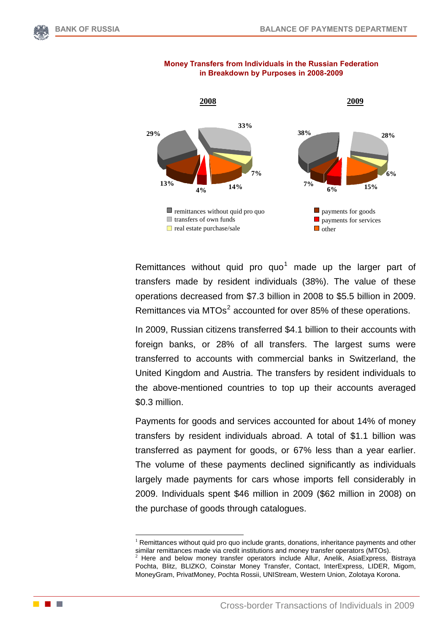



#### **Money Transfers from Individuals in the Russian Federation in Breakdown by Purposes in 2008-2009**

Remittances without quid pro quo<sup>[1](#page-1-0)</sup> made up the larger part of transfers made by resident individuals (38%). The value of these operations decreased from \$7.3 billion in 2008 to \$5.5 billion in 2009. Remittances via MTOs $2$  accounted for over 85% of these operations.

In 2009, Russian citizens transferred \$4.1 billion to their accounts with foreign banks, or 28% of all transfers. The largest sums were transferred to accounts with commercial banks in Switzerland, the United Kingdom and Austria. The transfers by resident individuals to the above-mentioned countries to top up their accounts averaged \$0.3 million.

Payments for goods and services accounted for about 14% of money transfers by resident individuals abroad. A total of \$1.1 billion was transferred as payment for goods, or 67% less than a year earlier. The volume of these payments declined significantly as individuals largely made payments for cars whose imports fell considerably in 2009. Individuals spent \$46 million in 2009 (\$62 million in 2008) on the purchase of goods through catalogues.

1

<span id="page-1-1"></span><span id="page-1-0"></span>**Contract Contract** 

 $<sup>1</sup>$  Remittances without quid pro quo include grants, donations, inheritance payments and other</sup> similar remittances made via credit institutions and money transfer operators (MTOs).<br><sup>2</sup> Here and below money transfer operators include Allur, Anelik, AsiaExpress, Bistraya

Pochta, Blitz, BLIZKO, Coinstar Money Transfer, Contact, InterExpress, LIDER, Migom, MoneyGram, PrivatMoney, Pochta Rossii, UNIStream, Western Union, Zolotaya Korona.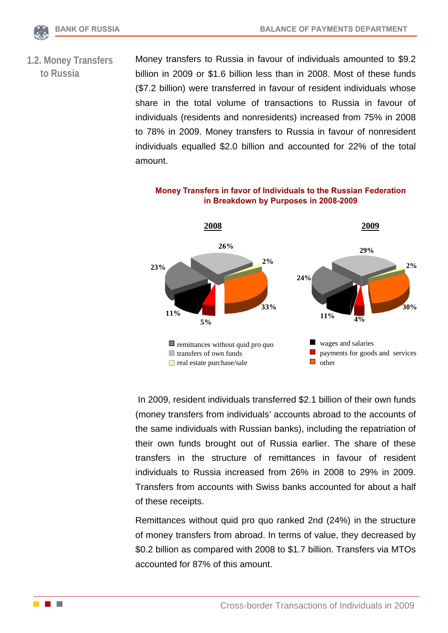

**1.2. Money Transfers to Russia** 

Money transfers to Russia in favour of individuals amounted to \$9.2 billion in 2009 or \$1.6 billion less than in 2008. Most of these funds (\$7.2 billion) were transferred in favour of resident individuals whose share in the total volume of transactions to Russia in favour of individuals (residents and nonresidents) increased from 75% in 2008 to 78% in 2009. Money transfers to Russia in favour of nonresident individuals equalled \$2.0 billion and accounted for 22% of the total amount.



**Money Transfers in favor of Individuals to the Russian Federation in Breakdown by Purposes in 2008-2009**

 In 2009, resident individuals transferred \$2.1 billion of their own funds (money transfers from individuals' accounts abroad to the accounts of the same individuals with Russian banks), including the repatriation of their own funds brought out of Russia earlier. The share of these transfers in the structure of remittances in favour of resident individuals to Russia increased from 26% in 2008 to 29% in 2009. Transfers from accounts with Swiss banks accounted for about a half of these receipts.

Remittances without quid pro quo ranked 2nd (24%) in the structure of money transfers from abroad. In terms of value, they decreased by \$0.2 billion as compared with 2008 to \$1.7 billion. Transfers via MTOs accounted for 87% of this amount.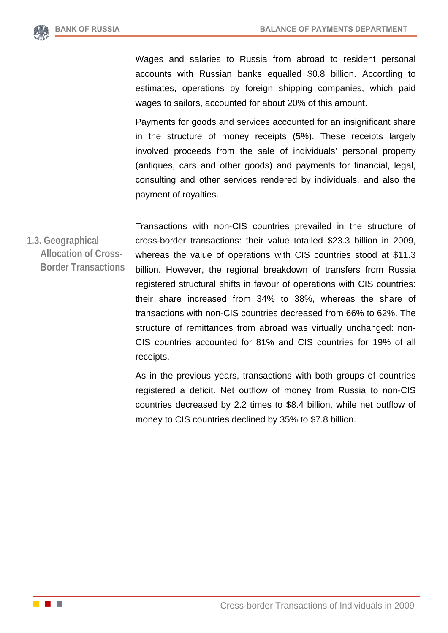

Wages and salaries to Russia from abroad to resident personal accounts with Russian banks equalled \$0.8 billion. According to estimates, operations by foreign shipping companies, which paid wages to sailors, accounted for about 20% of this amount.

Payments for goods and services accounted for an insignificant share in the structure of money receipts (5%). These receipts largely involved proceeds from the sale of individuals' personal property (antiques, cars and other goods) and payments for financial, legal, consulting and other services rendered by individuals, and also the payment of royalties.

**1.3. Geographical Allocation of Cross-Border Transactions**  Transactions with non-CIS countries prevailed in the structure of cross-border transactions: their value totalled \$23.3 billion in 2009, whereas the value of operations with CIS countries stood at \$11.3 billion. However, the regional breakdown of transfers from Russia registered structural shifts in favour of operations with CIS countries: their share increased from 34% to 38%, whereas the share of transactions with non-CIS countries decreased from 66% to 62%. The structure of remittances from abroad was virtually unchanged: non-CIS countries accounted for 81% and CIS countries for 19% of all receipts.

> As in the previous years, transactions with both groups of countries registered a deficit. Net outflow of money from Russia to non-CIS countries decreased by 2.2 times to \$8.4 billion, while net outflow of money to CIS countries declined by 35% to \$7.8 billion.

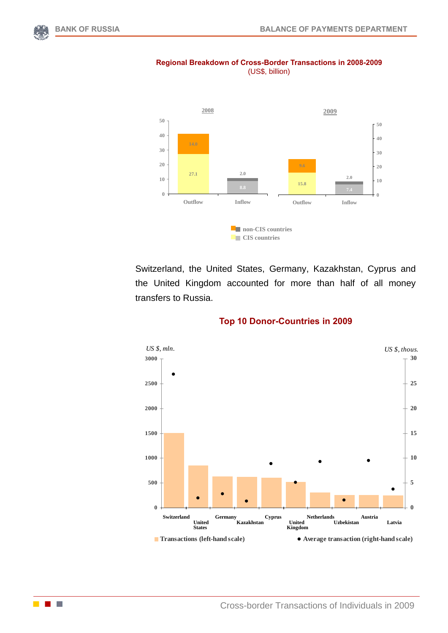**COLLEGE** 



### **Regional Breakdown of Cross-Border Transactions in 2008-2009** (US\$, billion)

Switzerland, the United States, Germany, Kazakhstan, Cyprus and the United Kingdom accounted for more than half of all money transfers to Russia.



#### **Top 10 Donor-Countries in 2009**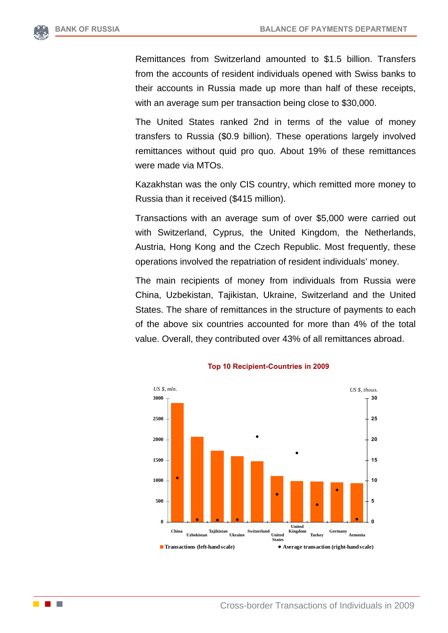

Remittances from Switzerland amounted to \$1.5 billion. Transfers from the accounts of resident individuals opened with Swiss banks to their accounts in Russia made up more than half of these receipts, with an average sum per transaction being close to \$30,000.

The United States ranked 2nd in terms of the value of money transfers to Russia (\$0.9 billion). These operations largely involved remittances without quid pro quo. About 19% of these remittances were made via MTOs.

Kazakhstan was the only CIS country, which remitted more money to Russia than it received (\$415 million).

Transactions with an average sum of over \$5,000 were carried out with Switzerland, Cyprus, the United Kingdom, the Netherlands, Austria, Hong Kong and the Czech Republic. Most frequently, these operations involved the repatriation of resident individuals' money.

The main recipients of money from individuals from Russia were China, Uzbekistan, Tajikistan, Ukraine, Switzerland and the United States. The share of remittances in the structure of payments to each of the above six countries accounted for more than 4% of the total value. Overall, they contributed over 43% of all remittances abroad.



#### **Top 10 Recipient-Countries in 2009**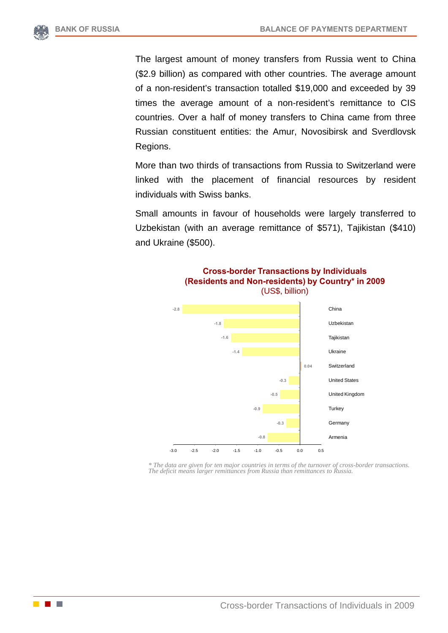

The largest amount of money transfers from Russia went to China (\$2.9 billion) as compared with other countries. The average amount of a non-resident's transaction totalled \$19,000 and exceeded by 39 times the average amount of a non-resident's remittance to CIS countries. Over a half of money transfers to China came from three Russian constituent entities: the Amur, Novosibirsk and Sverdlovsk Regions.

More than two thirds of transactions from Russia to Switzerland were linked with the placement of financial resources by resident individuals with Swiss banks.

Small amounts in favour of households were largely transferred to Uzbekistan (with an average remittance of \$571), Tajikistan (\$410) and Ukraine (\$500).



**Cross-border Transactions by Individuals (Residents and Non-residents) by Country\* in 2009**  (US\$, billion)

*\* The data are given for ten major countries in terms of the turnover of cross-border transactions. The deficit means larger remittances from Russia than remittances to Russia.*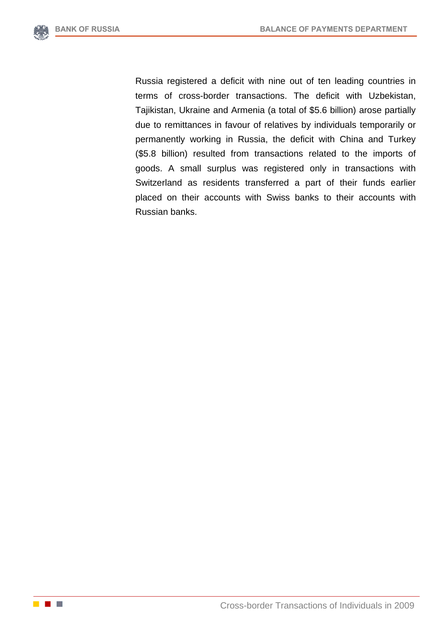

Russia registered a deficit with nine out of ten leading countries in terms of cross-border transactions. The deficit with Uzbekistan, Tajikistan, Ukraine and Armenia (a total of \$5.6 billion) arose partially due to remittances in favour of relatives by individuals temporarily or permanently working in Russia, the deficit with China and Turkey (\$5.8 billion) resulted from transactions related to the imports of goods. A small surplus was registered only in transactions with Switzerland as residents transferred a part of their funds earlier placed on their accounts with Swiss banks to their accounts with Russian banks.

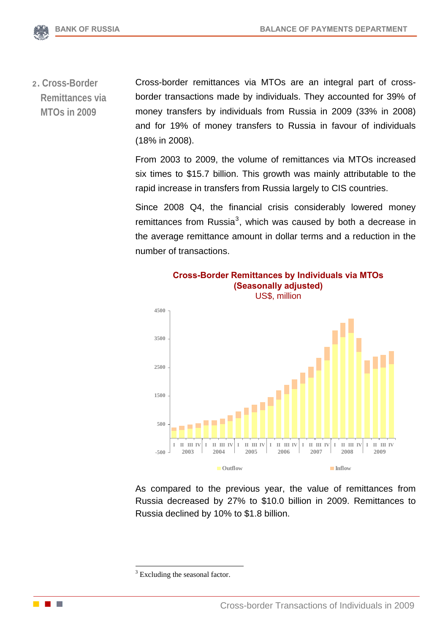

**2. Cross-Border Remittances via MTOs in 2009** Cross-border remittances via MTOs are an integral part of crossborder transactions made by individuals. They accounted for 39% of money transfers by individuals from Russia in 2009 (33% in 2008) and for 19% of money transfers to Russia in favour of individuals (18% in 2008).

> From 2003 to 2009, the volume of remittances via MTOs increased six times to \$15.7 billion. This growth was mainly attributable to the rapid increase in transfers from Russia largely to CIS countries.

> Since 2008 Q4, the financial crisis considerably lowered money remittances from Russia $3$ , which was caused by both a decrease in the average remittance amount in dollar terms and a reduction in the number of transactions.



As compared to the previous year, the value of remittances from Russia decreased by 27% to \$10.0 billion in 2009. Remittances to Russia declined by 10% to \$1.8 billion.

<u>.</u>

<span id="page-8-0"></span>

<sup>&</sup>lt;sup>3</sup> Excluding the seasonal factor.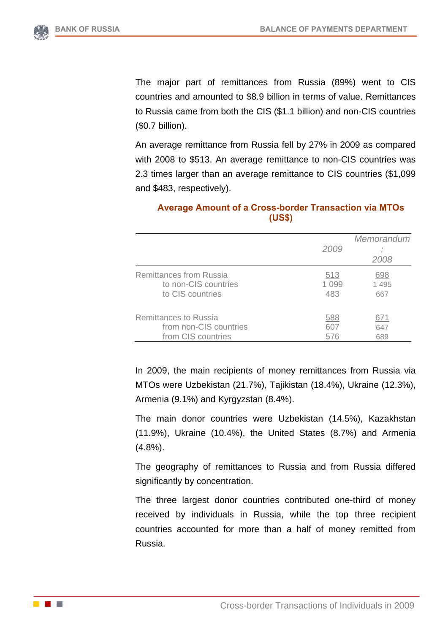The major part of remittances from Russia (89%) went to CIS countries and amounted to \$8.9 billion in terms of value. Remittances to Russia came from both the CIS (\$1.1 billion) and non-CIS countries (\$0.7 billion).

An average remittance from Russia fell by 27% in 2009 as compared with 2008 to \$513. An average remittance to non-CIS countries was 2.3 times larger than an average remittance to CIS countries (\$1,099 and \$483, respectively).

|                                | 2009    | Memorandum<br>2008 |
|--------------------------------|---------|--------------------|
| <b>Remittances from Russia</b> | 513     | 698                |
| to non-CIS countries           | 1 0 9 9 | 1 4 9 5            |
| to CIS countries               | 483     | 667                |
| <b>Remittances to Russia</b>   | 588     | 671                |
| from non-CIS countries         | 607     | 647                |
| from CIS countries             | 576     | 689                |

# **Average Amount of a Cross-border Transaction via MTOs (US\$)**

In 2009, the main recipients of money remittances from Russia via MTOs were Uzbekistan (21.7%), Tajikistan (18.4%), Ukraine (12.3%), Armenia (9.1%) and Kyrgyzstan (8.4%).

The main donor countries were Uzbekistan (14.5%), Kazakhstan (11.9%), Ukraine (10.4%), the United States (8.7%) and Armenia (4.8%).

The geography of remittances to Russia and from Russia differed significantly by concentration.

The three largest donor countries contributed one-third of money received by individuals in Russia, while the top three recipient countries accounted for more than a half of money remitted from Russia.